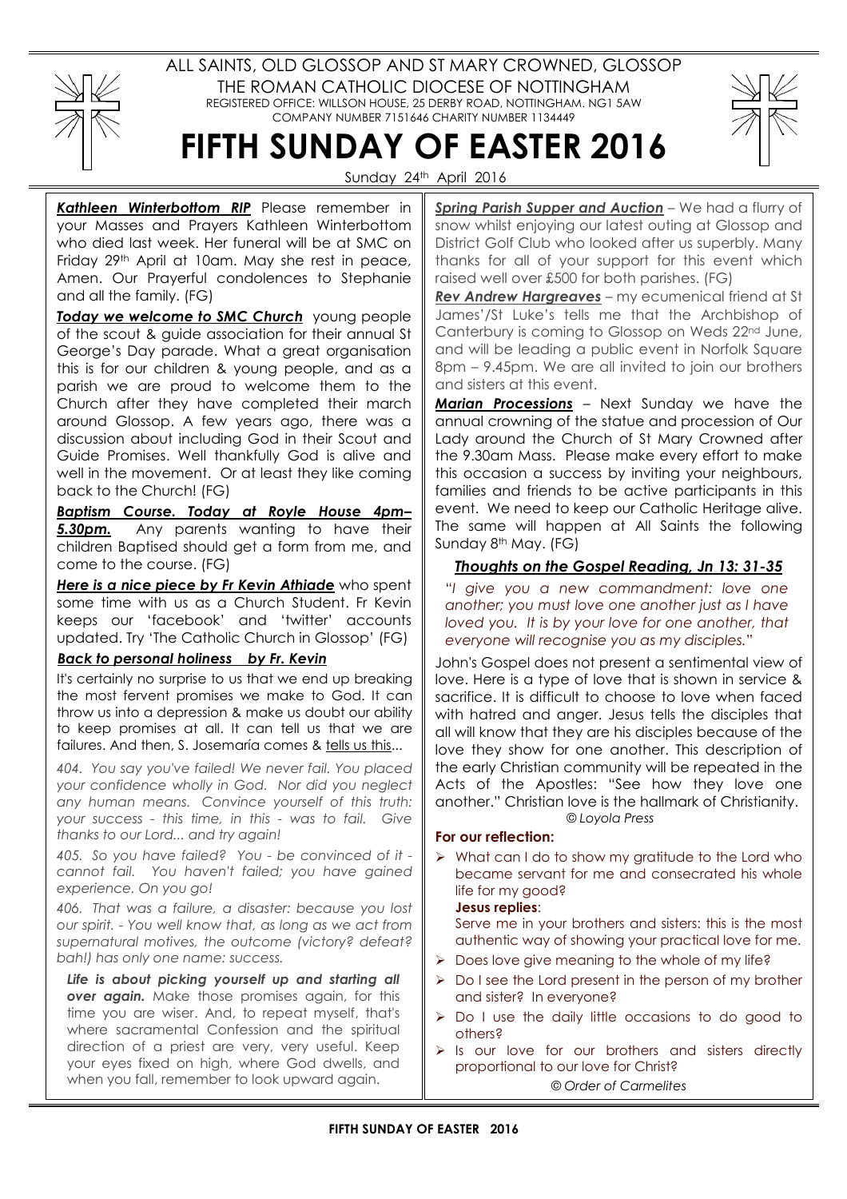

ALL SAINTS, OLD GLOSSOP AND ST MARY CROWNED, GLOSSOP THE ROMAN CATHOLIC DIOCESE OF NOTTINGHAM REGISTERED OFFICE: WILLSON HOUSE, 25 DERBY ROAD, NOTTINGHAM. NG1 5AW COMPANY NUMBER 7151646 CHARITY NUMBER 1134449



Sunday 24th April 2016

FIFTH SUNDAY OF EASTER 2016

Kathleen Winterbottom RIP Please remember in your Masses and Prayers Kathleen Winterbottom who died last week. Her funeral will be at SMC on Friday 29th April at 10am. May she rest in peace, Amen. Our Prayerful condolences to Stephanie and all the family. (FG)

Today we welcome to SMC Church young people of the scout & guide association for their annual St George's Day parade. What a great organisation this is for our children & young people, and as a parish we are proud to welcome them to the Church after they have completed their march around Glossop. A few years ago, there was a discussion about including God in their Scout and Guide Promises. Well thankfully God is alive and well in the movement. Or at least they like coming back to the Church! (FG)

Baptism Course. Today at Royle House 4pm– **5.30pm.** Any parents wanting to have their children Baptised should get a form from me, and come to the course. (FG)

Here is a nice piece by Fr Kevin Athiade who spent some time with us as a Church Student. Fr Kevin keeps our 'facebook' and 'twitter' accounts updated. Try 'The Catholic Church in Glossop' (FG)

## Back to personal holiness by Fr. Kevin

It's certainly no surprise to us that we end up breaking the most fervent promises we make to God. It can throw us into a depression & make us doubt our ability to keep promises at all. It can tell us that we are failures. And then, S. Josemaría comes & tells us this...

404. You say you've failed! We never fail. You placed your confidence wholly in God. Nor did you neglect any human means. Convince yourself of this truth: your success - this time, in this - was to fail. Give thanks to our Lord... and try again!

405. So you have failed? You - be convinced of it cannot fail. You haven't failed; you have gained experience. On you go!

406. That was a failure, a disaster: because you lost our spirit. - You well know that, as long as we act from supernatural motives, the outcome (victory? defeat? bah!) has only one name: success.

Life is about picking yourself up and starting all over again. Make those promises again, for this time you are wiser. And, to repeat myself, that's where sacramental Confession and the spiritual direction of a priest are very, very useful. Keep your eyes fixed on high, where God dwells, and when you fall, remember to look upward again.

Spring Parish Supper and Auction - We had a flurry of snow whilst enjoying our latest outing at Glossop and District Golf Club who looked after us superbly. Many thanks for all of your support for this event which raised well over £500 for both parishes. (FG)

Rev Andrew Hargreaves - my ecumenical friend at St James'/St Luke's tells me that the Archbishop of Canterbury is coming to Glossop on Weds 22nd June, and will be leading a public event in Norfolk Square 8pm – 9.45pm. We are all invited to join our brothers and sisters at this event.

**Marian Processions** – Next Sunday we have the annual crowning of the statue and procession of Our Lady around the Church of St Mary Crowned after the 9.30am Mass. Please make every effort to make this occasion a success by inviting your neighbours, families and friends to be active participants in this event. We need to keep our Catholic Heritage alive. The same will happen at All Saints the following Sunday 8<sup>th</sup> May. (FG)

# Thoughts on the Gospel Reading, Jn 13: 31-35

"I give you a new commandment: love one another; you must love one another just as I have loved you. It is by your love for one another, that everyone will recognise you as my disciples."

John's Gospel does not present a sentimental view of love. Here is a type of love that is shown in service & sacrifice. It is difficult to choose to love when faced with hatred and anger. Jesus tells the disciples that all will know that they are his disciples because of the love they show for one another. This description of the early Christian community will be repeated in the Acts of the Apostles: "See how they love one another." Christian love is the hallmark of Christianity. © Loyola Press

## For our reflection:

 $\triangleright$  What can I do to show my gratitude to the Lord who became servant for me and consecrated his whole life for my good?

## Jesus replies:

Serve me in your brothers and sisters: this is the most authentic way of showing your practical love for me.

- $\triangleright$  Does love give meaning to the whole of my life?
- $\triangleright$  Do I see the Lord present in the person of my brother and sister? In everyone?
- $\triangleright$  Do I use the daily little occasions to do good to others?
- $\triangleright$  Is our love for our brothers and sisters directly proportional to our love for Christ?